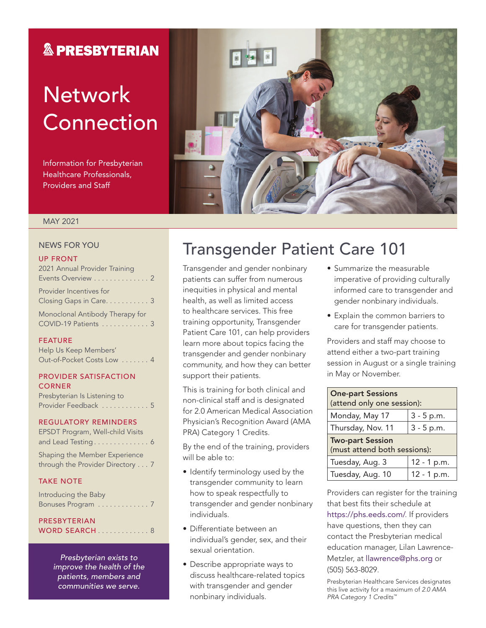### **& PRESBYTERIAN**

# **Network** Connection

Information for Presbyterian Healthcare Professionals, Providers and Staff



#### MAY 2021

#### NEWS FOR YOU

#### UP FRONT

| 2021 Annual Provider Training                      |
|----------------------------------------------------|
| Events Overview 2                                  |
| Provider Incentives for<br>Closing Gaps in Care. 3 |
| Monoclonal Antibody Therapy for                    |
| COVID-19 Patients  3                               |

#### FEATURE

Help Us Keep Members' Out-of-Pocket Costs Low . . . . . . . 4

#### PROVIDER SATISFACTION **CORNER**

Presbyterian Is Listening to Provider Feedback . . . . . . . . . . . 5

#### REGULATORY REMINDERS

| EPSDT Program, Well-child Visits |  |
|----------------------------------|--|
| and Lead Testing 6               |  |

Shaping the Member Experience through the Provider Directory . . . 7

#### TAKE NOTE

Introducing the Baby Bonuses Program . . . . . . . . . . . . . 7

### PRESBYTERIAN

WORD SEARCH . . . . . . . . . . . . 8

*Presbyterian exists to improve the health of the patients, members and communities we serve.*

### Transgender Patient Care 101

Transgender and gender nonbinary patients can suffer from numerous inequities in physical and mental health, as well as limited access to healthcare services. This free training opportunity, Transgender Patient Care 101, can help providers learn more about topics facing the transgender and gender nonbinary community, and how they can better support their patients.

This is training for both clinical and non-clinical staff and is designated for 2.0 American Medical Association Physician's Recognition Award (AMA PRA) Category 1 Credits.

By the end of the training, providers will be able to:

- Identify terminology used by the transgender community to learn how to speak respectfully to transgender and gender nonbinary individuals.
- Differentiate between an individual's gender, sex, and their sexual orientation.
- Describe appropriate ways to discuss healthcare-related topics with transgender and gender nonbinary individuals.
- Summarize the measurable imperative of providing culturally informed care to transgender and gender nonbinary individuals.
- Explain the common barriers to care for transgender patients.

Providers and staff may choose to attend either a two-part training session in August or a single training in May or November.

| <b>One-part Sessions</b><br>(attend only one session):  |              |  |  |  |  |  |
|---------------------------------------------------------|--------------|--|--|--|--|--|
| Monday, May 17                                          | $3 - 5 p.m.$ |  |  |  |  |  |
| $3 - 5 p.m.$<br>Thursday, Nov. 11                       |              |  |  |  |  |  |
| <b>Two-part Session</b><br>(must attend both sessions): |              |  |  |  |  |  |
| Tuesday, Aug. 3                                         | 12 - 1 p.m.  |  |  |  |  |  |
| Tuesday, Aug. 10                                        | 12 - 1 p.m.  |  |  |  |  |  |

Providers can register for the training that best fits their schedule at <https://phs.eeds.com/>. If providers have questions, then they can contact the Presbyterian medical education manager, Lilan Lawrence-Metzler, at [llawrence@phs.org](mailto:llawrence@phs.org) or (505) 563-8029.

Presbyterian Healthcare Services designates this live activity for a maximum of *2.0 AMA PRA Category 1 Credits*™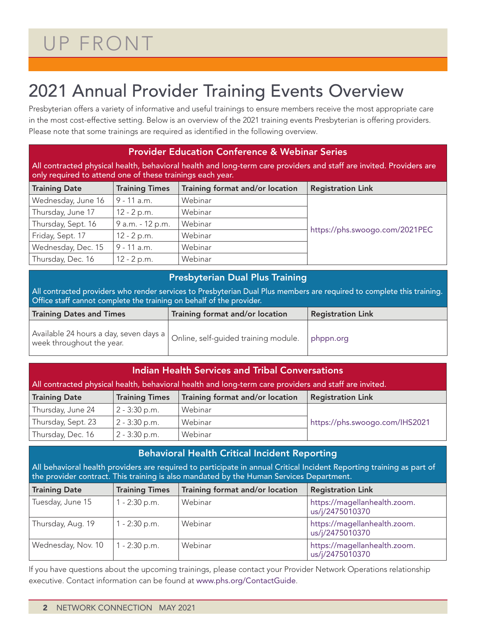# UP FRONT

## 2021 Annual Provider Training Events Overview

Presbyterian offers a variety of informative and useful trainings to ensure members receive the most appropriate care in the most cost-effective setting. Below is an overview of the 2021 training events Presbyterian is offering providers. Please note that some trainings are required as identified in the following overview.

| <b>Provider Education Conference &amp; Webinar Series</b>                                                                                                                        |                       |                                 |                                |  |  |  |  |
|----------------------------------------------------------------------------------------------------------------------------------------------------------------------------------|-----------------------|---------------------------------|--------------------------------|--|--|--|--|
| All contracted physical health, behavioral health and long-term care providers and staff are invited. Providers are<br>only required to attend one of these trainings each year. |                       |                                 |                                |  |  |  |  |
| <b>Training Date</b>                                                                                                                                                             | <b>Training Times</b> | Training format and/or location | <b>Registration Link</b>       |  |  |  |  |
| Wednesday, June 16                                                                                                                                                               | $9 - 11$ a.m.         | Webinar                         |                                |  |  |  |  |
| Thursday, June 17                                                                                                                                                                | $12 - 2 p.m.$         | Webinar                         |                                |  |  |  |  |
| Thursday, Sept. 16                                                                                                                                                               | 9 a.m. - 12 p.m.      | Webinar                         |                                |  |  |  |  |
| Friday, Sept. 17                                                                                                                                                                 | $12 - 2 p.m.$         | Webinar                         | https://phs.swoogo.com/2021PEC |  |  |  |  |
| Wednesday, Dec. 15                                                                                                                                                               | 9 - 11 a.m.           | Webinar                         |                                |  |  |  |  |
| Thursday, Dec. 16                                                                                                                                                                | $12 - 2 p.m.$         | Webinar                         |                                |  |  |  |  |

#### Presbyterian Dual Plus Training

All contracted providers who render services to Presbyterian Dual Plus members are required to complete this training. Office staff cannot complete the training on behalf of the provider.

| <b>Training Dates and Times</b>                                                                                                | Training format and/or location | <b>Registration Link</b> |  |  |  |
|--------------------------------------------------------------------------------------------------------------------------------|---------------------------------|--------------------------|--|--|--|
| . Available 24 hours a day, seven days a $\big\vert$ Online, self-guided training module. $^{-1}$<br>week throughout the year. |                                 | phppn.org                |  |  |  |

| <b>Indian Health Services and Tribal Conversations</b>                                                |                            |                                 |                                |  |  |  |  |  |  |
|-------------------------------------------------------------------------------------------------------|----------------------------|---------------------------------|--------------------------------|--|--|--|--|--|--|
| All contracted physical health, behavioral health and long-term care providers and staff are invited. |                            |                                 |                                |  |  |  |  |  |  |
| <b>Training Date</b>                                                                                  | <b>Training Times</b>      | Training format and/or location | <b>Registration Link</b>       |  |  |  |  |  |  |
| Thursday, June 24                                                                                     | $2 - 3:30$ p.m.            | Webinar                         |                                |  |  |  |  |  |  |
| Thursday, Sept. 23                                                                                    | $2 - 3:30$ p.m.            | Webinar                         | https://phs.swoogo.com/IHS2021 |  |  |  |  |  |  |
| Thursday, Dec. 16                                                                                     | $2 - 3:30$ p.m.<br>Webinar |                                 |                                |  |  |  |  |  |  |

#### Behavioral Health Critical Incident Reporting

All behavioral health providers are required to participate in annual Critical Incident Reporting training as part of the provider contract. This training is also mandated by the Human Services Department.

| <b>Training Date</b> | <b>Training Times</b> | Training format and/or location | <b>Registration Link</b>                        |
|----------------------|-----------------------|---------------------------------|-------------------------------------------------|
| Tuesday, June 15     | 1 - 2:30 p.m.         | Webinar                         | https://magellanhealth.zoom.<br>us/j/2475010370 |
| Thursday, Aug. 19    | $1 - 2:30$ p.m.       | Webinar                         | https://magellanhealth.zoom.<br>us/j/2475010370 |
| Wednesday, Nov. 10   | $1 - 2:30$ p.m.       | Webinar                         | https://magellanhealth.zoom.<br>us/j/2475010370 |

If you have questions about the upcoming trainings, please contact your Provider Network Operations relationship executive. Contact information can be found at [www.phs.org/ContactGuide](http://www.phs.org/ContactGuide).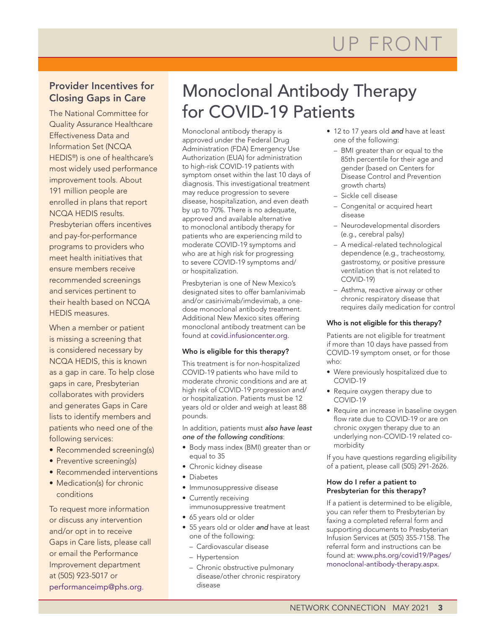#### Provider Incentives for Closing Gaps in Care

The National Committee for Quality Assurance Healthcare Effectiveness Data and Information Set (NCQA HEDIS®) is one of healthcare's most widely used performance improvement tools. About 191 million people are enrolled in plans that report NCQA HEDIS results. Presbyterian offers incentives and pay-for-performance programs to providers who meet health initiatives that ensure members receive recommended screenings and services pertinent to their health based on NCQA HEDIS measures.

When a member or patient is missing a screening that is considered necessary by NCQA HEDIS, this is known as a gap in care. To help close gaps in care, Presbyterian collaborates with providers and generates Gaps in Care lists to identify members and patients who need one of the following services:

- Recommended screening(s)
- Preventive screening(s)
- Recommended interventions
- Medication(s) for chronic conditions

To request more information or discuss any intervention and/or opt in to receive Gaps in Care lists, please call or email the Performance Improvement department at (505) 923-5017 or [performanceimp@phs.org](mailto:performanceimp@phs.org).

### Monoclonal Antibody Therapy for COVID-19 Patients

Monoclonal antibody therapy is approved under the Federal Drug Administration (FDA) Emergency Use Authorization (EUA) for administration to high-risk COVID-19 patients with symptom onset within the last 10 days of diagnosis. This investigational treatment may reduce progression to severe disease, hospitalization, and even death by up to 70%. There is no adequate, approved and available alternative to monoclonal antibody therapy for patients who are experiencing mild to moderate COVID-19 symptoms and who are at high risk for progressing to severe COVID-19 symptoms and/ or hospitalization.

Presbyterian is one of New Mexico's designated sites to offer bamlanivimab and/or casirivimab/imdevimab, a onedose monoclonal antibody treatment. Additional New Mexico sites offering monoclonal antibody treatment can be found at [covid.infusioncenter.org](https://covid.infusioncenter.org/).

#### Who is eligible for this therapy?

This treatment is for non-hospitalized COVID-19 patients who have mild to moderate chronic conditions and are at high risk of COVID-19 progression and/ or hospitalization. Patients must be 12 years old or older and weigh at least 88 pounds.

In addition, patients must *also have least one of the following conditions*:

- Body mass index (BMI) greater than or equal to 35
- Chronic kidney disease
- Diabetes
- Immunosuppressive disease
- Currently receiving immunosuppressive treatment
- 65 years old or older
- 55 years old or older *and* have at least one of the following:
	- Cardiovascular disease
	- Hypertension
	- Chronic obstructive pulmonary disease/other chronic respiratory disease
- 12 to 17 years old *and* have at least one of the following:
	- BMI greater than or equal to the 85th percentile for their age and gender (based on Centers for Disease Control and Prevention growth charts)
	- Sickle cell disease
	- Congenital or acquired heart disease
	- Neurodevelopmental disorders (e.g., cerebral palsy)
	- A medical-related technological dependence (e.g., tracheostomy, gastrostomy, or positive pressure ventilation that is not related to COVID-19)
	- Asthma, reactive airway or other chronic respiratory disease that requires daily medication for control

#### Who is not eligible for this therapy?

Patients are not eligible for treatment if more than 10 days have passed from COVID-19 symptom onset, or for those who:

- Were previously hospitalized due to COVID-19
- Require oxygen therapy due to COVID-19
- Require an increase in baseline oxygen flow rate due to COVID-19 or are on chronic oxygen therapy due to an underlying non-COVID-19 related comorbidity

If you have questions regarding eligibility of a patient, please call (505) 291-2626.

#### How do I refer a patient to Presbyterian for this therapy?

If a patient is determined to be eligible, you can refer them to Presbyterian by faxing a completed referral form and supporting documents to Presbyterian Infusion Services at (505) 355-7158. The referral form and instructions can be found at: [www.phs.org/covid19/Pages/](http://www.phs.org/covid19/Pages/monoclonal-antibody-therapy.aspx) [monoclonal-antibody-therapy.aspx](http://www.phs.org/covid19/Pages/monoclonal-antibody-therapy.aspx).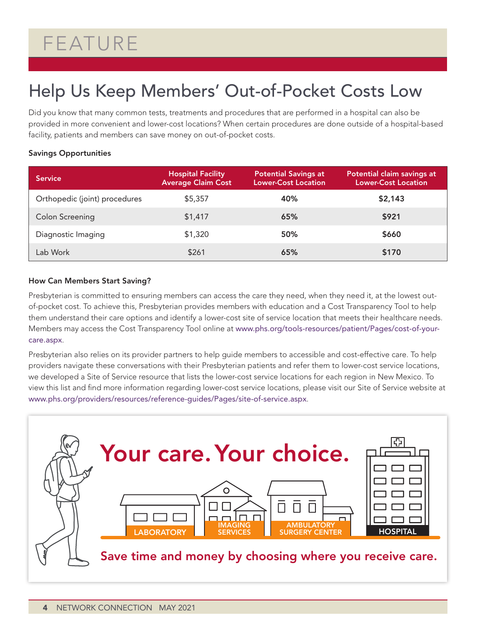# FEATURE

## Help Us Keep Members' Out-of-Pocket Costs Low

Did you know that many common tests, treatments and procedures that are performed in a hospital can also be provided in more convenient and lower-cost locations? When certain procedures are done outside of a hospital-based facility, patients and members can save money on out-of-pocket costs.

#### Savings Opportunities

| <b>Service</b>                | <b>Hospital Facility</b><br><b>Average Claim Cost</b> | <b>Potential Savings at</b><br><b>Lower-Cost Location</b> | Potential claim savings at<br><b>Lower-Cost Location</b> |
|-------------------------------|-------------------------------------------------------|-----------------------------------------------------------|----------------------------------------------------------|
| Orthopedic (joint) procedures | \$5,357                                               | 40%                                                       | \$2,143                                                  |
| <b>Colon Screening</b>        | \$1,417                                               | 65%                                                       | \$921                                                    |
| Diagnostic Imaging            | \$1,320                                               | 50%                                                       | \$660                                                    |
| Lab Work                      | \$261                                                 | 65%                                                       | \$170                                                    |

#### How Can Members Start Saving?

Presbyterian is committed to ensuring members can access the care they need, when they need it, at the lowest outof-pocket cost. To achieve this, Presbyterian provides members with education and a Cost Transparency Tool to help them understand their care options and identify a lower-cost site of service location that meets their healthcare needs. Members may access the Cost Transparency Tool online at [www.phs.org/tools-resources/patient/Pages/cost-of-your](https://www.phs.org/tools-resources/patient/Pages/cost-of-your-care.aspx)[care.aspx](https://www.phs.org/tools-resources/patient/Pages/cost-of-your-care.aspx).

Presbyterian also relies on its provider partners to help guide members to accessible and cost-effective care. To help providers navigate these conversations with their Presbyterian patients and refer them to lower-cost service locations, we developed a Site of Service resource that lists the lower-cost service locations for each region in New Mexico. To view this list and find more information regarding lower-cost service locations, please visit our Site of Service website at [www.phs.org/providers/resources/reference-guides/Pages/site-of-service.aspx](https://www.phs.org/providers/resources/reference-guides/Pages/site-of-service.aspx).

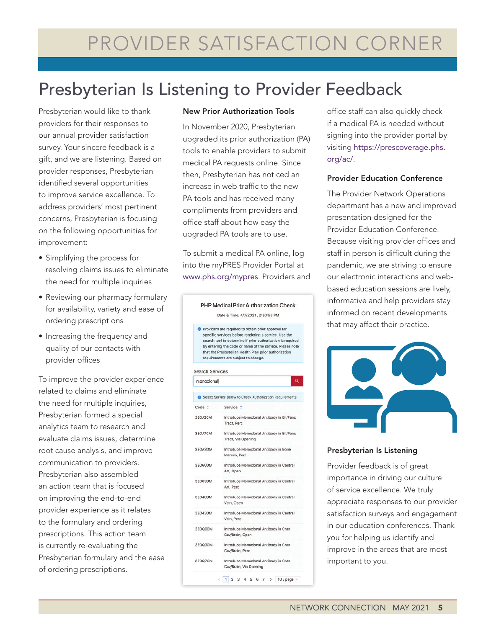## Presbyterian Is Listening to Provider Feedback

Presbyterian would like to thank providers for their responses to our annual provider satisfaction survey. Your sincere feedback is a gift, and we are listening. Based on provider responses, Presbyterian identified several opportunities to improve service excellence. To address providers' most pertinent concerns, Presbyterian is focusing on the following opportunities for improvement:

- Simplifying the process for resolving claims issues to eliminate the need for multiple inquiries
- Reviewing our pharmacy formulary for availability, variety and ease of ordering prescriptions
- Increasing the frequency and quality of our contacts with provider offices

To improve the provider experience related to claims and eliminate the need for multiple inquiries, Presbyterian formed a special analytics team to research and evaluate claims issues, determine root cause analysis, and improve communication to providers. Presbyterian also assembled an action team that is focused on improving the end-to-end provider experience as it relates to the formulary and ordering prescriptions. This action team is currently re-evaluating the Presbyterian formulary and the ease of ordering prescriptions.

#### New Prior Authorization Tools

In November 2020, Presbyterian upgraded its prior authorization (PA) tools to enable providers to submit medical PA requests online. Since then, Presbyterian has noticed an increase in web traffic to the new PA tools and has received many compliments from providers and office staff about how easy the upgraded PA tools are to use.

To submit a medical PA online, log into the myPRES Provider Portal at [www.phs.org/mypres](http://www.phs.org/mypres). Providers and



office staff can also quickly check if a medical PA is needed without signing into the provider portal by visiting [https://prescoverage.phs.](https://prescoverage.phs.org/ac/) [org/ac/](https://prescoverage.phs.org/ac/).

#### Provider Education Conference

The Provider Network Operations department has a new and improved presentation designed for the Provider Education Conference. Because visiting provider offices and staff in person is difficult during the pandemic, we are striving to ensure our electronic interactions and webbased education sessions are lively, informative and help providers stay informed on recent developments that may affect their practice.



#### Presbyterian Is Listening

Provider feedback is of great importance in driving our culture of service excellence. We truly appreciate responses to our provider satisfaction surveys and engagement in our education conferences. Thank you for helping us identify and improve in the areas that are most important to you.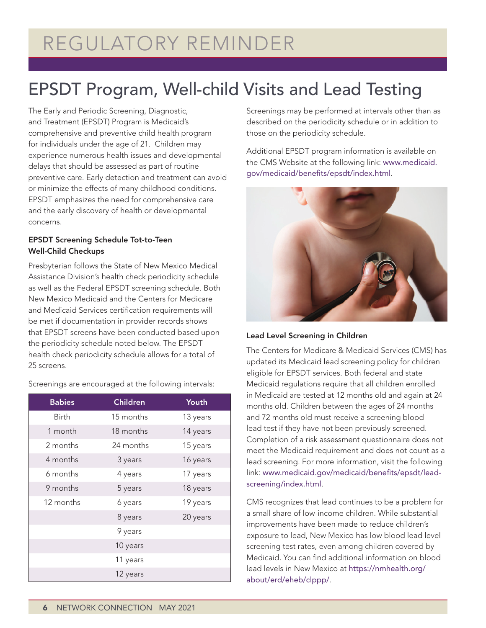# REGULATORY REMINDER

## EPSDT Program, Well-child Visits and Lead Testing

The Early and Periodic Screening, Diagnostic, and Treatment (EPSDT) Program is Medicaid's comprehensive and preventive child health program for individuals under the age of 21. Children may experience numerous health issues and developmental delays that should be assessed as part of routine preventive care. Early detection and treatment can avoid or minimize the effects of many childhood conditions. EPSDT emphasizes the need for comprehensive care and the early discovery of health or developmental concerns.

#### EPSDT Screening Schedule Tot-to-Teen Well-Child Checkups

Presbyterian follows the State of New Mexico Medical Assistance Division's health check periodicity schedule as well as the Federal EPSDT screening schedule. Both New Mexico Medicaid and the Centers for Medicare and Medicaid Services certification requirements will be met if documentation in provider records shows that EPSDT screens have been conducted based upon the periodicity schedule noted below. The EPSDT health check periodicity schedule allows for a total of 25 screens.

| <b>Babies</b> | <b>Children</b> | Youth    |
|---------------|-----------------|----------|
| <b>Birth</b>  | 15 months       | 13 years |
| 1 month       | 18 months       | 14 years |
| 2 months      | 24 months       | 15 years |
| 4 months      | 3 years         | 16 years |
| 6 months      | 4 years         | 17 years |
| 9 months      | 5 years         | 18 years |
| 12 months     | 6 years         | 19 years |
|               | 8 years         | 20 years |
|               | 9 years         |          |
|               | 10 years        |          |
|               | 11 years        |          |
|               | 12 years        |          |

Screenings are encouraged at the following intervals:

Screenings may be performed at intervals other than as described on the periodicity schedule or in addition to those on the periodicity schedule.

Additional EPSDT program information is available on the CMS Website at the following link: [www.medicaid.](http://www.medicaid.gov/medicaid/benefits/epsdt/index.html) [gov/medicaid/benefits/epsdt/index.html](http://www.medicaid.gov/medicaid/benefits/epsdt/index.html).



#### Lead Level Screening in Children

The Centers for Medicare & Medicaid Services (CMS) has updated its Medicaid lead screening policy for children eligible for EPSDT services. Both federal and state Medicaid regulations require that all children enrolled in Medicaid are tested at 12 months old and again at 24 months old. Children between the ages of 24 months and 72 months old must receive a screening blood lead test if they have not been previously screened. Completion of a risk assessment questionnaire does not meet the Medicaid requirement and does not count as a lead screening. For more information, visit the following link: [www.medicaid.gov/medicaid/benefits/epsdt/lead](http://www.medicaid.gov/medicaid/benefits/epsdt/lead-screening/index.html)[screening/index.html](http://www.medicaid.gov/medicaid/benefits/epsdt/lead-screening/index.html).

CMS recognizes that lead continues to be a problem for a small share of low-income children. While substantial improvements have been made to reduce children's exposure to lead, New Mexico has low blood lead level screening test rates, even among children covered by Medicaid. You can find additional information on blood lead levels in New Mexico at [https://nmhealth.org/](https://nmhealth.org/about/erd/eheb/clppp/) [about/erd/eheb/clppp/](https://nmhealth.org/about/erd/eheb/clppp/).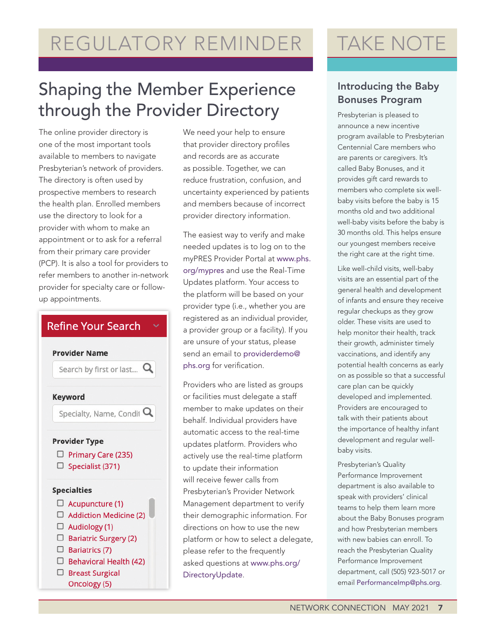# REGULATORY REMINDER

## Shaping the Member Experience through the Provider Directory

The online provider directory is one of the most important tools available to members to navigate Presbyterian's network of providers. The directory is often used by prospective members to research the health plan. Enrolled members use the directory to look for a provider with whom to make an appointment or to ask for a referral from their primary care provider (PCP). It is also a tool for providers to refer members to another in-network provider for specialty care or followup appointments.

### **Refine Your Search**



We need your help to ensure that provider directory profiles and records are as accurate as possible. Together, we can reduce frustration, confusion, and uncertainty experienced by patients and members because of incorrect provider directory information.

The easiest way to verify and make needed updates is to log on to the myPRES Provider Portal at [www.phs.](http://www.phs.org/mypres) [org/mypres](http://www.phs.org/mypres) and use the Real-Time Updates platform. Your access to the platform will be based on your provider type (i.e., whether you are registered as an individual provider, a provider group or a facility). If you are unsure of your status, please send an email to [providerdemo@](mailto:providerdemo@phs.org) [phs.org](mailto:providerdemo@phs.org) for verification.

Providers who are listed as groups or facilities must delegate a staff member to make updates on their behalf. Individual providers have automatic access to the real-time updates platform. Providers who actively use the real-time platform to update their information will receive fewer calls from Presbyterian's Provider Network Management department to verify their demographic information. For directions on how to use the new platform or how to select a delegate, please refer to the frequently asked questions at [www.phs.org/](http://www.phs.org/DirectoryUpdate) [DirectoryUpdate](http://www.phs.org/DirectoryUpdate).

# TAKE NOTE

### Introducing the Baby Bonuses Program

Presbyterian is pleased to announce a new incentive program available to Presbyterian Centennial Care members who are parents or caregivers. It's called Baby Bonuses, and it provides gift card rewards to members who complete six wellbaby visits before the baby is 15 months old and two additional well-baby visits before the baby is 30 months old. This helps ensure our youngest members receive the right care at the right time.

Like well-child visits, well-baby visits are an essential part of the general health and development of infants and ensure they receive regular checkups as they grow older. These visits are used to help monitor their health, track their growth, administer timely vaccinations, and identify any potential health concerns as early on as possible so that a successful care plan can be quickly developed and implemented. Providers are encouraged to talk with their patients about the importance of healthy infant development and regular wellbaby visits.

Presbyterian's Quality Performance Improvement department is also available to speak with providers' clinical teams to help them learn more about the Baby Bonuses program and how Presbyterian members with new babies can enroll. To reach the Presbyterian Quality Performance Improvement department, call (505) 923-5017 or email [PerformanceImp@phs.org](mailto:PerformanceImp@phs.org).